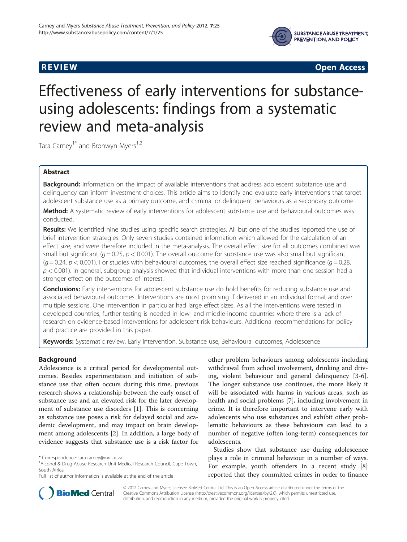

**REVIEW REVIEW CONSTRUCTER CONSTRUCTION** 

# Effectiveness of early interventions for substanceusing adolescents: findings from a systematic review and meta-analysis

Tara Carney<sup>1\*</sup> and Bronwyn Myers<sup>1,2</sup>

# Abstract

Background: Information on the impact of available interventions that address adolescent substance use and delinquency can inform investment choices. This article aims to identify and evaluate early interventions that target adolescent substance use as a primary outcome, and criminal or delinquent behaviours as a secondary outcome.

Method: A systematic review of early interventions for adolescent substance use and behavioural outcomes was conducted.

Results: We identified nine studies using specific search strategies. All but one of the studies reported the use of brief intervention strategies. Only seven studies contained information which allowed for the calculation of an effect size, and were therefore included in the meta-analysis. The overall effect size for all outcomes combined was small but significant ( $q = 0.25$ ,  $p < 0.001$ ). The overall outcome for substance use was also small but significant  $(q=0.24, p<0.001)$ . For studies with behavioural outcomes, the overall effect size reached significance  $(q=0.28, p<0.001)$ .  $p < 0.001$ ). In general, subgroup analysis showed that individual interventions with more than one session had a stronger effect on the outcomes of interest.

**Conclusions:** Early interventions for adolescent substance use do hold benefits for reducing substance use and associated behavioural outcomes. Interventions are most promising if delivered in an individual format and over multiple sessions. One intervention in particular had large effect sizes. As all the interventions were tested in developed countries, further testing is needed in low- and middle-income countries where there is a lack of research on evidence-based interventions for adolescent risk behaviours. Additional recommendations for policy and practice are provided in this paper.

Keywords: Systematic review, Early intervention, Substance use, Behavioural outcomes, Adolescence

# **Background**

Adolescence is a critical period for developmental outcomes. Besides experimentation and initiation of substance use that often occurs during this time, previous research shows a relationship between the early onset of substance use and an elevated risk for the later development of substance use disorders [[1\]](#page-13-0). This is concerning as substance use poses a risk for delayed social and academic development, and may impact on brain development among adolescents [\[2\]](#page-13-0). In addition, a large body of evidence suggests that substance use is a risk factor for

other problem behaviours among adolescents including withdrawal from school involvement, drinking and driving, violent behaviour and general delinquency [[3-6](#page-13-0)]. The longer substance use continues, the more likely it will be associated with harms in various areas, such as health and social problems [\[7](#page-13-0)], including involvement in crime. It is therefore important to intervene early with adolescents who use substances and exhibit other problematic behaviours as these behaviours can lead to a number of negative (often long-term) consequences for adolescents.

Studies show that substance use during adolescence plays a role in criminal behaviour in a number of ways. For example, youth offenders in a recent study [[8](#page-13-0)] reported that they committed crimes in order to finance



© 2012 Carney and Myers; licensee BioMed Central Ltd. This is an Open Access article distributed under the terms of the Creative Commons Attribution License (<http://creativecommons.org/licenses/by/2.0>), which permits unrestricted use, distribution, and reproduction in any medium, provided the original work is properly cited.

<sup>\*</sup> Correspondence: [tara.carney@mrc.ac.za](mailto:tara.carney@mrc.ac.za) <sup>1</sup>

<sup>&</sup>lt;sup>1</sup> Alcohol & Drug Abuse Research Unit Medical Research Council, Cape Town, South Africa

Full list of author information is available at the end of the article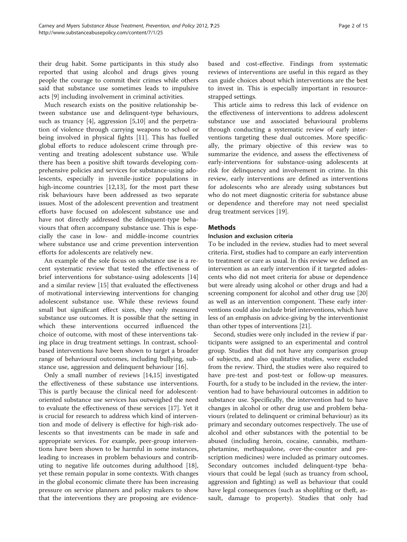their drug habit. Some participants in this study also reported that using alcohol and drugs gives young people the courage to commit their crimes while others said that substance use sometimes leads to impulsive acts [[9\]](#page-13-0) including involvement in criminal activities.

Much research exists on the positive relationship between substance use and delinquent-type behaviours, such as truancy [\[4](#page-13-0)], aggression [\[5,10](#page-13-0)] and the perpetration of violence through carrying weapons to school or being involved in physical fights [[11](#page-13-0)]. This has fuelled global efforts to reduce adolescent crime through preventing and treating adolescent substance use. While there has been a positive shift towards developing comprehensive policies and services for substance-using adolescents, especially in juvenile-justice populations in high-income countries [\[12,13](#page-13-0)], for the most part these risk behaviours have been addressed as two separate issues. Most of the adolescent prevention and treatment efforts have focused on adolescent substance use and have not directly addressed the delinquent-type behaviours that often accompany substance use. This is especially the case in low- and middle-income countries where substance use and crime prevention intervention efforts for adolescents are relatively new.

An example of the sole focus on substance use is a recent systematic review that tested the effectiveness of brief interventions for substance-using adolescents [[14](#page-14-0)] and a similar review [\[15](#page-14-0)] that evaluated the effectiveness of motivational interviewing interventions for changing adolescent substance use. While these reviews found small but significant effect sizes, they only measured substance use outcomes. It is possible that the setting in which these interventions occurred influenced the choice of outcome, with most of these interventions taking place in drug treatment settings. In contrast, schoolbased interventions have been shown to target a broader range of behavioural outcomes, including bullying, substance use, aggression and delinquent behaviour [\[16\]](#page-14-0).

Only a small number of reviews [[14](#page-14-0),[15](#page-14-0)] investigated the effectiveness of these substance use interventions. This is partly because the clinical need for adolescentoriented substance use services has outweighed the need to evaluate the effectiveness of these services [\[17](#page-14-0)]. Yet it is crucial for research to address which kind of intervention and mode of delivery is effective for high-risk adolescents so that investments can be made in safe and appropriate services. For example, peer-group interventions have been shown to be harmful in some instances, leading to increases in problem behaviours and contributing to negative life outcomes during adulthood [\[18](#page-14-0)], yet these remain popular in some contexts. With changes in the global economic climate there has been increasing pressure on service planners and policy makers to show that the interventions they are proposing are evidencebased and cost-effective. Findings from systematic reviews of interventions are useful in this regard as they can guide choices about which interventions are the best to invest in. This is especially important in resourcestrapped settings.

This article aims to redress this lack of evidence on the effectiveness of interventions to address adolescent substance use and associated behavioural problems through conducting a systematic review of early interventions targeting these dual outcomes. More specifically, the primary objective of this review was to summarize the evidence, and assess the effectiveness of early-interventions for substance-using adolescents at risk for delinquency and involvement in crime. In this review, early interventions are defined as interventions for adolescents who are already using substances but who do not meet diagnostic criteria for substance abuse or dependence and therefore may not need specialist drug treatment services [[19](#page-14-0)].

# **Methods**

#### Inclusion and exclusion criteria

To be included in the review, studies had to meet several criteria. First, studies had to compare an early intervention to treatment or care as usual. In this review we defined an intervention as an early intervention if it targeted adolescents who did not meet criteria for abuse or dependence but were already using alcohol or other drugs and had a screening component for alcohol and other drug use [[20](#page-14-0)] as well as an intervention component. These early interventions could also include brief interventions, which have less of an emphasis on advice-giving by the interventionist than other types of interventions [\[21\]](#page-14-0).

Second, studies were only included in the review if participants were assigned to an experimental and control group. Studies that did not have any comparison group of subjects, and also qualitative studies, were excluded from the review. Third, the studies were also required to have pre-test and post-test or follow-up measures. Fourth, for a study to be included in the review, the intervention had to have behavioural outcomes in addition to substance use. Specifically, the intervention had to have changes in alcohol or other drug use and problem behaviours (related to delinquent or criminal behaviour) as its primary and secondary outcomes respectively. The use of alcohol and other substances with the potential to be abused (including heroin, cocaine, cannabis, methamphetamine, methaqualone, over-the-counter and prescription medicines) were included as primary outcomes. Secondary outcomes included delinquent-type behaviours that could be legal (such as truancy from school, aggression and fighting) as well as behaviour that could have legal consequences (such as shoplifting or theft, assault, damage to property). Studies that only had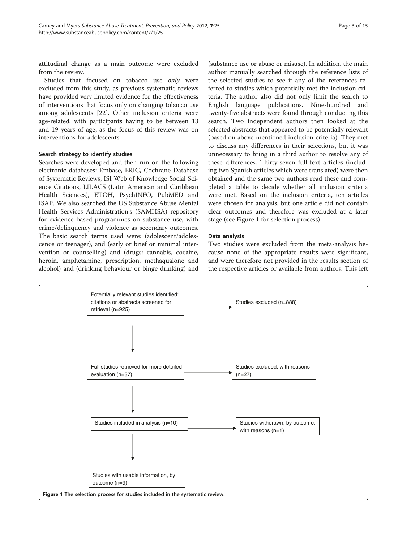attitudinal change as a main outcome were excluded from the review.

Studies that focused on tobacco use only were excluded from this study, as previous systematic reviews have provided very limited evidence for the effectiveness of interventions that focus only on changing tobacco use among adolescents [[22\]](#page-14-0). Other inclusion criteria were age-related, with participants having to be between 13 and 19 years of age, as the focus of this review was on interventions for adolescents.

#### Search strategy to identify studies

Searches were developed and then run on the following electronic databases: Embase, ERIC, Cochrane Database of Systematic Reviews, ISI Web of Knowledge Social Science Citations, LILACS (Latin American and Caribbean Health Sciences), ETOH, PsychINFO, PubMED and ISAP. We also searched the US Substance Abuse Mental Health Services Administration's (SAMHSA) repository for evidence based programmes on substance use, with crime/delinquency and violence as secondary outcomes. The basic search terms used were: (adolescent/adolescence or teenager), and (early or brief or minimal intervention or counselling) and (drugs: cannabis, cocaine, heroin, amphetamine, prescription, methaqualone and alcohol) and (drinking behaviour or binge drinking) and

(substance use or abuse or misuse). In addition, the main author manually searched through the reference lists of the selected studies to see if any of the references referred to studies which potentially met the inclusion criteria. The author also did not only limit the search to English language publications. Nine-hundred and twenty-five abstracts were found through conducting this search. Two independent authors then looked at the selected abstracts that appeared to be potentially relevant (based on above-mentioned inclusion criteria). They met to discuss any differences in their selections, but it was unnecessary to bring in a third author to resolve any of these differences. Thirty-seven full-text articles (including two Spanish articles which were translated) were then obtained and the same two authors read these and completed a table to decide whether all inclusion criteria were met. Based on the inclusion criteria, ten articles were chosen for analysis, but one article did not contain clear outcomes and therefore was excluded at a later stage (see Figure 1 for selection process).

# Data analysis

Two studies were excluded from the meta-analysis because none of the appropriate results were significant, and were therefore not provided in the results section of the respective articles or available from authors. This left

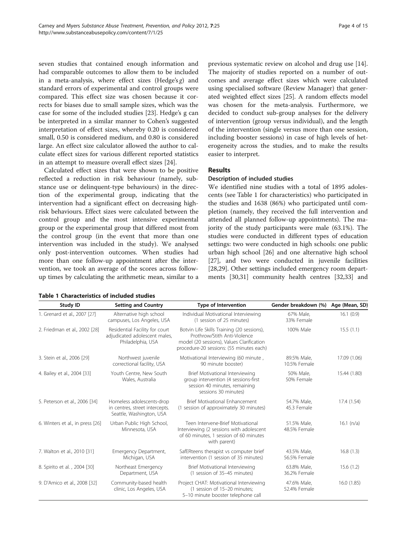seven studies that contained enough information and had comparable outcomes to allow them to be included in a meta-analysis, where effect sizes (Hedge's g) and standard errors of experimental and control groups were compared. This effect size was chosen because it corrects for biases due to small sample sizes, which was the case for some of the included studies [[23\]](#page-14-0). Hedge's g can be interpreted in a similar manner to Cohen's suggested interpretation of effect sizes, whereby 0.20 is considered small, 0.50 is considered medium, and 0.80 is considered large. An effect size calculator allowed the author to calculate effect sizes for various different reported statistics in an attempt to measure overall effect sizes [[24\]](#page-14-0).

Calculated effect sizes that were shown to be positive reflected a reduction in risk behaviour (namely, substance use or delinquent-type behaviours) in the direction of the experimental group, indicating that the intervention had a significant effect on decreasing highrisk behaviours. Effect sizes were calculated between the control group and the most intensive experimental group or the experimental group that differed most from the control group (in the event that more than one intervention was included in the study). We analysed only post-intervention outcomes. When studies had more than one follow-up appointment after the intervention, we took an average of the scores across followup times by calculating the arithmetic mean, similar to a

| <b>Table 1 Characteristics of included studies</b> |
|----------------------------------------------------|
|----------------------------------------------------|

previous systematic review on alcohol and drug use [\[14](#page-14-0)]. The majority of studies reported on a number of outcomes and average effect sizes which were calculated using specialised software (Review Manager) that generated weighted effect sizes [[25\]](#page-14-0). A random effects model was chosen for the meta-analysis. Furthermore, we decided to conduct sub-group analyses for the delivery of intervention (group versus individual), and the length of the intervention (single versus more than one session, including booster sessions) in case of high levels of heterogeneity across the studies, and to make the results easier to interpret.

# Results

#### Description of included studies

We identified nine studies with a total of 1895 adolescents (see Table 1 for characteristics) who participated in the studies and 1638 (86%) who participated until completion (namely, they received the full intervention and attended all planned follow-up appointments). The majority of the study participants were male (63.1%). The studies were conducted in different types of education settings: two were conducted in high schools: one public urban high school [\[26](#page-14-0)] and one alternative high school [[27\]](#page-14-0), and two were conducted in juvenile facilities [[28,29\]](#page-14-0). Other settings included emergency room departments [\[30,31\]](#page-14-0) community health centres [[32](#page-14-0),[33](#page-14-0)] and

| Study ID                         | <b>Setting and Country</b>                                                              | <b>Type of Intervention</b>                                                                                                                                         | Gender breakdown (%)        | Age (Mean, SD) |  |
|----------------------------------|-----------------------------------------------------------------------------------------|---------------------------------------------------------------------------------------------------------------------------------------------------------------------|-----------------------------|----------------|--|
| 1. Grenard et al., 2007 [27]     | Alternative high school<br>campuses, Los Angeles, USA                                   | Individual Motivational Interviewing<br>(1 session of 25 minutes)                                                                                                   | 67% Male,<br>33% Female     | 16.1(0.9)      |  |
| 2. Friedman et al., 2002 [28]    | Residential Facility for court<br>adjudicated adolescent males,<br>Philadelphia, USA    | Botvin Life Skills Training (20 sessions),<br>Prothrow/Stith Anti-Violence<br>model (20 sessions), Values Clarification<br>procedure-20 sessions: (55 minutes each) | 100% Male                   | 15.5(1.1)      |  |
| 3. Stein et al., 2006 [29]       | Northwest juvenile<br>correctional facility, USA                                        | Motivational Interviewing (60 minute,<br>90 minute booster)                                                                                                         | 89.5% Male,<br>10.5% Female | 17.09 (1.06)   |  |
| 4. Bailey et al., 2004 [33]      | Youth Centre, New South<br>Wales, Australia                                             | Brief Motivational Interviewing<br>group intervention (4 sessions-first<br>session 40 minutes, remaining<br>sessions 30 minutes)                                    | 50% Male.<br>50% Female     | 15.44 (1.80)   |  |
| 5. Peterson et al., 2006 [34]    | Homeless adolescents-drop<br>in centres, street intercepts.<br>Seattle, Washington, USA | <b>Brief Motivational Enhancement</b><br>(1 session of approximately 30 minutes)                                                                                    | 54.7% Male,<br>45.3 Female  | 17.4 (1.54)    |  |
| 6. Winters et al., in press [26] | Urban Public High School,<br>Minnesota, USA                                             | Teen Intervene-Brief Motivational<br>Interviewing (2 sessions with adolescent<br>of 60 minutes. 1 session of 60 minutes<br>with parent)                             | 51.5% Male.<br>48.5% Female | 16.1 $(n/a)$   |  |
| 7. Walton et al., 2010 [31]      | Emergency Department,<br>Michigan, USA                                                  | SafERteens therapist vs computer brief<br>intervention (1 session of 35 minutes)                                                                                    | 43.5% Male,<br>56.5% Female | 16.8(1.3)      |  |
| 8. Spirito et al., 2004 [30]     | Northeast Emergency<br>Department, USA                                                  | Brief Motivational Interviewing<br>(1 session of 35-45 minutes)                                                                                                     | 63.8% Male,<br>36.2% Female | 15.6(1.2)      |  |
| 9. D'Amico et al., 2008 [32]     | Community-based health<br>clinic, Los Angeles, USA                                      | Project CHAT: Motivational Interviewing<br>(1 session of 15-20 minutes:<br>5-10 minute booster telephone call                                                       | 47.6% Male.<br>52.4% Female | 16.0(1.85)     |  |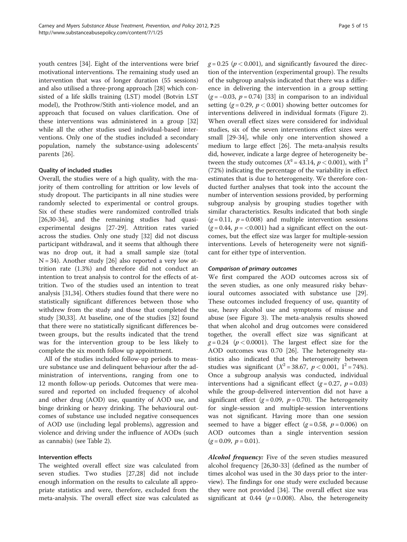youth centres [[34](#page-14-0)]. Eight of the interventions were brief motivational interventions. The remaining study used an intervention that was of longer duration (55 sessions) and also utilised a three-prong approach [[28\]](#page-14-0) which consisted of a life skills training (LST) model (Botvin LST model), the Prothrow/Stith anti-violence model, and an approach that focused on values clarification. One of these interventions was administered in a group [[32](#page-14-0)] while all the other studies used individual-based interventions. Only one of the studies included a secondary population, namely the substance-using adolescents' parents [[26\]](#page-14-0).

# Quality of included studies

Overall, the studies were of a high quality, with the majority of them controlling for attrition or low levels of study dropout. The participants in all nine studies were randomly selected to experimental or control groups. Six of these studies were randomized controlled trials [[26,30-34\]](#page-14-0), and the remaining studies had quasiexperimental designs [[27](#page-14-0)-[29\]](#page-14-0). Attrition rates varied across the studies. Only one study [[32\]](#page-14-0) did not discuss participant withdrawal, and it seems that although there was no drop out, it had a small sample size (total  $N = 34$ ). Another study [\[26](#page-14-0)] also reported a very low attrition rate (1.3%) and therefore did not conduct an intention to treat analysis to control for the effects of attrition. Two of the studies used an intention to treat analysis [\[31,34](#page-14-0)]. Others studies found that there were no statistically significant differences between those who withdrew from the study and those that completed the study [\[30,33](#page-14-0)]. At baseline, one of the studies [[32\]](#page-14-0) found that there were no statistically significant differences between groups, but the results indicated that the trend was for the intervention group to be less likely to complete the six month follow up appointment.

All of the studies included follow-up periods to measure substance use and delinquent behaviour after the administration of interventions, ranging from one to 12 month follow-up periods. Outcomes that were measured and reported on included frequency of alcohol and other drug (AOD) use, quantity of AOD use, and binge drinking or heavy drinking. The behavioural outcomes of substance use included negative consequences of AOD use (including legal problems), aggression and violence and driving under the influence of AODs (such as cannabis) (see Table [2\)](#page-5-0).

# Intervention effects

The weighted overall effect size was calculated from seven studies. Two studies [[27,28\]](#page-14-0) did not include enough information on the results to calculate all appropriate statistics and were, therefore, excluded from the meta-analysis. The overall effect size was calculated as  $g = 0.25$  ( $p < 0.001$ ), and significantly favoured the direction of the intervention (experimental group). The results of the subgroup analysis indicated that there was a difference in delivering the intervention in a group setting  $(g = -0.03, p = 0.74)$  [\[33\]](#page-14-0) in comparison to an individual setting ( $g = 0.29$ ,  $p < 0.001$ ) showing better outcomes for interventions delivered in individual formats (Figure [2](#page-6-0)). When overall effect sizes were considered for individual studies, six of the seven interventions effect sizes were small [\[29](#page-14-0)-[34](#page-14-0)], while only one intervention showed a medium to large effect [\[26\]](#page-14-0). The meta-analysis results did, however, indicate a large degree of heterogeneity between the study outcomes ( $X^2 = 43.14$ ,  $p < 0.001$ ), with  $I^2$ (72%) indicating the percentage of the variability in effect estimates that is due to heterogeneity. We therefore conducted further analyses that took into the account the number of intervention sessions provided, by performing subgroup analysis by grouping studies together with similar characteristics. Results indicated that both single  $(g = 0.11, p = 0.008)$  and multiple intervention sessions  $(g = 0.44, p = 0.001)$  had a significant effect on the outcomes, but the effect size was larger for multiple-session interventions. Levels of heterogeneity were not significant for either type of intervention.

#### Comparison of primary outcomes

We first compared the AOD outcomes across six of the seven studies, as one only measured risky behavioural outcomes associated with substance use [\[29](#page-14-0)]. These outcomes included frequency of use, quantity of use, heavy alcohol use and symptoms of misuse and abuse (see Figure [3](#page-7-0)). The meta-analysis results showed that when alcohol and drug outcomes were considered together, the overall effect size was significant at  $g = 0.24$  ( $p < 0.0001$ ). The largest effect size for the AOD outcomes was 0.70 [[26\]](#page-14-0). The heterogeneity statistics also indicated that the heterogeneity between studies was significant ( $X^2 = 38.67$ ,  $p < 0.001$ ,  $I^2 = 74\%$ ). Once a subgroup analysis was conducted, individual interventions had a significant effect ( $g = 0.27$ ,  $p = 0.03$ ) while the group-delivered intervention did not have a significant effect ( $g = 0.09$ ,  $p = 0.70$ ). The heterogeneity for single-session and multiple-session interventions was not significant. Having more than one session seemed to have a bigger effect ( $g = 0.58$ ,  $p = 0.006$ ) on AOD outcomes than a single intervention session  $(g = 0.09, p = 0.01).$ 

Alcohol frequency: Five of the seven studies measured alcohol frequency [[26,30](#page-14-0)-[33\]](#page-14-0) (defined as the number of times alcohol was used in the 30 days prior to the interview). The findings for one study were excluded because they were not provided [[34\]](#page-14-0). The overall effect size was significant at 0.44 ( $p = 0.008$ ). Also, the heterogeneity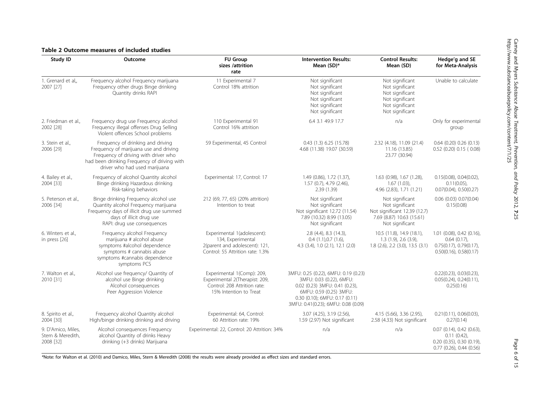# <span id="page-5-0"></span>Table 2 Outcome measures of included studies

| Study ID                                             | Outcome                                                                                                                                                                                             | <b>FU Group</b><br>sizes /attrition<br>rate                                                                            | <b>Intervention Results:</b><br>Mean (SD)*                                                                                                                                                             | <b>Control Results:</b><br>Mean (SD)                                                                               | Hedge'g and SE<br>for Meta-Analysis                                                                        |  |
|------------------------------------------------------|-----------------------------------------------------------------------------------------------------------------------------------------------------------------------------------------------------|------------------------------------------------------------------------------------------------------------------------|--------------------------------------------------------------------------------------------------------------------------------------------------------------------------------------------------------|--------------------------------------------------------------------------------------------------------------------|------------------------------------------------------------------------------------------------------------|--|
| 1. Grenard et al.,<br>2007 [27]                      | Frequency alcohol Frequency marijuana<br>Frequency other drugs Binge drinking<br>Quantity drinks RAPI                                                                                               | 11 Experimental 7<br>Control 18% attrition                                                                             | Not significant<br>Not significant<br>Not significant<br>Not significant<br>Not significant<br>Not significant                                                                                         | Not significant<br>Not significant<br>Not significant<br>Not significant<br>Not significant<br>Not significant     | Unable to calculate                                                                                        |  |
| 2. Friedman et al.,<br>2002 [28]                     | Frequency drug use Frequency alcohol<br>Frequency illegal offenses Drug Selling<br>Violent offences School problems                                                                                 | 110 Experimental 91<br>Control 16% attrition                                                                           | 6.4 3.1 49.9 17.7                                                                                                                                                                                      | n/a                                                                                                                | Only for experimental<br>group                                                                             |  |
| 3. Stein et al.,<br>2006 [29]                        | Frequency of drinking and driving<br>Frequency of marijuana use and driving<br>Frequency of driving with driver who<br>had been drinking Frequency of driving with<br>driver who had used marijuana | 59 Experimental, 45 Control                                                                                            | $0.43$ $(1.3)$ 6.25 $(15.78)$<br>4.68 (11.38) 19.07 (30.59)                                                                                                                                            | 2.32 (4.18), 11.09 (21.4)<br>11.16 (13.85)<br>23.77 (30.94)                                                        | $0.64$ (0.20) 0.26 (0.13)<br>$0.52$ (0.20) $0.15$ (0.08)                                                   |  |
| 4. Bailey et al.,<br>2004 [33]                       | Frequency of alcohol Quantity alcohol<br>Binge drinking Hazardous drinking<br>Risk-taking behaviors                                                                                                 | Experimental: 17, Control: 17                                                                                          | 1.49 (0.86), 1.72 (1.37),<br>$1.57$ (0.7), 4.79 (2.46),<br>2.39 (1.39)                                                                                                                                 | 1.63 (0.98), 1.67 (1.28),<br>$1.67(1.03)$ ,<br>4.96 (2.83), 1.71 (1.21)                                            | 0.15(0.08), 0.04(0.02),<br>$0.11(0.05)$ ,<br>$0.07(0.04)$ , $0.50(0.27)$                                   |  |
| 5. Peterson et al.,<br>2006 [34]                     | Binge drinking Frequency alcohol use<br>Quantity alcohol Frequency marijuana<br>Frequency days of illicit drug use summed<br>days of illicit drug use<br>RAPI: drug use consequences                | 212 (69, 77, 65) (20% attrition)<br>Intention to treat                                                                 | Not significant<br>Not significant<br>Not significant 12.72 (11.54)<br>7.89 (10.32) 8.99 (13.05)<br>Not significant                                                                                    | Not significant<br>Not significant<br>Not significant 12.39 (12.7)<br>7.69 (8.87) 10.63 (15.61)<br>Not significant | 0.06(0.03)0.07(0.04)<br>0.15(0.08)                                                                         |  |
| 6. Winters et al.,<br>in press [26]                  | Frequency alcohol Frequency<br>marijuana # alcohol abuse<br>symptoms #alcohol dependence<br>symptoms # cannabis abuse<br>symptoms #cannabis dependence<br>symptoms PCS                              | Experimental 1(adolescent):<br>134, Experimental<br>2(parent and adolescent): 121,<br>Control: 55 Attrition rate: 1.3% | 2.8 (4.4), 8.3 (14.3),<br>$0.4(1.1)$ , 0.7 $(1.6)$ ,<br>4.3 (3.4), 1.0 (2.1), 12.1 (2.0)                                                                                                               | 10.5 (11.8), 14.9 (18.1),<br>1.3(1.9), 2.6(3.9),<br>$1.8$ (2.6), 2.2 (3.0), 13.5 (3.1)                             | $1.01$ (0.08), 0.42 (0.16),<br>$0.64(0.17)$ ,<br>0.75(0.17), 0.79(0.17),<br>$0.50(0.16)$ , $0.58(0.17)$    |  |
| 7. Walton et al.,<br>2010 [31]                       | Alcohol use frequency/ Quantity of<br>alcohol use Binge drinking<br>Alcohol consequences<br>Peer Aggression Violence                                                                                | Experimental 1(Comp): 209,<br>Experimental 2(Therapist: 209,<br>Control: 208 Attrition rate:<br>15% Intention to Treat | 3MFU: 0.25 (0.22), 6MFU: 0.19 (0.23)<br>3MFU: 0.03 (0.22), 6MFU:<br>0.02 (0.23) 3MFU: 0.41 (0.23),<br>6MFU: 0.59 (0.25) 3MFU:<br>0.30 (0.10); 6MFU: 0.17 (0.11)<br>3MFU: 0.41(0.23); 6MFU: 0.08 (0.09) |                                                                                                                    | 0.22(0.23), 0.03(0.23),<br>0.05(0.24), 0.24(0.11),<br>0.25(0.16)                                           |  |
| 8. Spirito et al.,<br>2004 [30]                      | Frequency alcohol Quantity alcohol<br>High/binge drinking drinking and driving                                                                                                                      | Experimental: 64, Control:<br>60 Attrition rate: 19%                                                                   | $3.07$ (4.25), $3.19$ (2.56),<br>1.59 (2.97) Not significant                                                                                                                                           | 4.15 (5.66), 3.36 (2.95),<br>2.58 (4.33) Not significant                                                           | 0.21(0.11), 0.06(0.03),<br>0.27(0.14)                                                                      |  |
| 9. D'Amico, Miles,<br>Stern & Meredith,<br>2008 [32] | Alcohol consequences Frequency<br>alcohol Quantity of drinks Heavy<br>drinking (+3 drinks) Marijuana                                                                                                | Experimental: 22, Control: 20 Attrition: 34%                                                                           | n/a                                                                                                                                                                                                    | n/a                                                                                                                | $0.07$ (0.14), 0.42 (0.63),<br>$0.11(0.42)$ ,<br>$0.20$ (0.35), 0.30 (0.19),<br>$0.77$ (0.26), 0.44 (0.56) |  |

\*Note: for Walton et al. (2010) and Damico, Miles, Stern & Meredith (2008) the results were already provided as effect sizes and standard errors.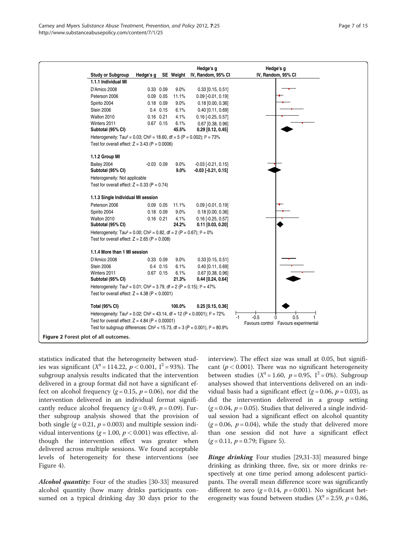<span id="page-6-0"></span>

statistics indicated that the heterogeneity between studies was significant ( $X^2 = 114.22$ ,  $p < 0.001$ ,  $I^2 = 93\%$ ). The subgroup analysis results indicated that the intervention delivered in a group format did not have a significant effect on alcohol frequency ( $g = 0.15$ ,  $p = 0.06$ ), nor did the intervention delivered in an individual format significantly reduce alcohol frequency ( $g = 0.49$ ,  $p = 0.09$ ). Further subgroup analysis showed that the provision of both single ( $g = 0.21$ ,  $p = 0.003$ ) and multiple session individual interventions ( $g = 1.00$ ,  $p < 0.001$ ) was effective, although the intervention effect was greater when delivered across multiple sessions. We found acceptable levels of heterogeneity for these interventions (see Figure [4](#page-8-0)).

Alcohol quantity: Four of the studies [\[30](#page-14-0)-[33](#page-14-0)] measured alcohol quantity (how many drinks participants consumed on a typical drinking day 30 days prior to the interview). The effect size was small at 0.05, but significant ( $p < 0.001$ ). There was no significant heterogeneity between studies ( $X^2 = 1.60$ ,  $p = 0.95$ ,  $I^2 = 0\%$ ). Subgroup analyses showed that interventions delivered on an individual basis had a significant effect ( $g = 0.06$ ,  $p = 0.03$ ), as did the intervention delivered in a group setting  $(g = 0.04, p = 0.05)$ . Studies that delivered a single individual session had a significant effect on alcohol quantity  $(g = 0.06, p = 0.04)$ , while the study that delivered more than one session did not have a significant effect  $(g = 0.11, p = 0.79;$  Figure [5\)](#page-9-0).

Binge drinking Four studies [\[29,31-33\]](#page-14-0) measured binge drinking as drinking three, five, six or more drinks respectively at one time period among adolescent participants. The overall mean difference score was significantly different to zero ( $g = 0.14$ ,  $p = 0.001$ ). No significant heterogeneity was found between studies ( $X^2 = 2.59$ ,  $p = 0.86$ ,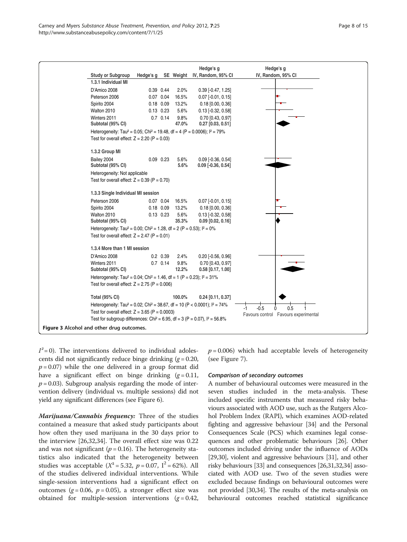<span id="page-7-0"></span>

 $I^2$ =0). The interventions delivered to individual adolescents did not significantly reduce binge drinking  $(g = 0.20,$  $p = 0.07$ ) while the one delivered in a group format did have a significant effect on binge drinking  $(g = 0.11)$ ,  $p = 0.03$ ). Subgroup analysis regarding the mode of intervention delivery (individual vs. multiple sessions) did not yield any significant differences (see Figure [6](#page-10-0)).

Marijuana/Cannabis frequency: Three of the studies contained a measure that asked study participants about how often they used marijuana in the 30 days prior to the interview [[26](#page-14-0),[32](#page-14-0),[34](#page-14-0)]. The overall effect size was 0.22 and was not significant ( $p = 0.16$ ). The heterogeneity statistics also indicated that the heterogeneity between studies was acceptable ( $X^2 = 5.32$ ,  $p = 0.07$ ,  $I^2 = 62$ %). All of the studies delivered individual interventions. While single-session interventions had a significant effect on outcomes  $(g = 0.06, p = 0.05)$ , a stronger effect size was obtained for multiple-session interventions  $(g=0.42,$   $p = 0.006$ ) which had acceptable levels of heterogeneity (see Figure [7](#page-10-0)).

#### Comparison of secondary outcomes

A number of behavioural outcomes were measured in the seven studies included in the meta-analysis. These included specific instruments that measured risky behaviours associated with AOD use, such as the Rutgers Alcohol Problem Index (RAPI), which examines AOD-related fighting and aggressive behaviour [[34](#page-14-0)] and the Personal Consequences Scale (PCS) which examines legal consequences and other problematic behaviours [\[26](#page-14-0)]. Other outcomes included driving under the influence of AODs [[29,30](#page-14-0)], violent and aggressive behaviours [\[31](#page-14-0)], and other risky behaviours [[33](#page-14-0)] and consequences [\[26,31,32,34\]](#page-14-0) associated with AOD use. Two of the seven studies were excluded because findings on behavioural outcomes were not provided [[30,34\]](#page-14-0). The results of the meta-analysis on behavioural outcomes reached statistical significance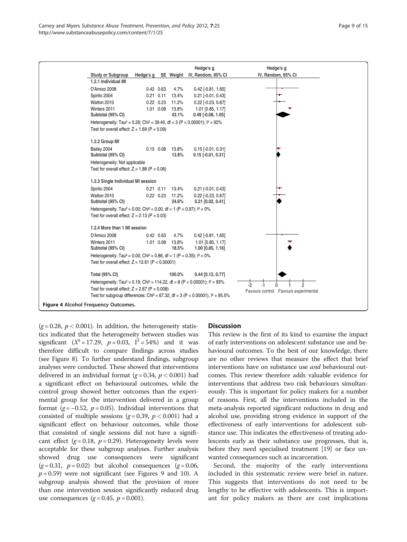<span id="page-8-0"></span>

 $(g = 0.28, p < 0.001)$ . In addition, the heterogeneity statistics indicated that the heterogeneity between studies was significant  $(X^2 = 17.29, p = 0.03, I^2 = 54\%)$  and it was therefore difficult to compare findings across studies (see Figure [8](#page-11-0)). To further understand findings, subgroup analyses were conducted. These showed that interventions delivered in an individual format ( $g = 0.34$ ,  $p < 0.001$ ) had a significant effect on behavioural outcomes, while the control group showed better outcomes than the experimental group for the intervention delivered in a group format ( $g = -0.52$ ,  $p = 0.05$ ). Individual interventions that consisted of multiple sessions ( $g = 0.39$ ,  $p < 0.001$ ) had a significant effect on behaviour outcomes, while those that consisted of single sessions did not have a significant effect ( $g = 0.18$ ,  $p = 0.29$ ). Heterogeneity levels were acceptable for these subgroup analyses. Further analysis showed drug use consequences were significant  $(g=0.31, p=0.02)$  but alcohol consequences  $(g=0.06,$  $p = 0.59$ ) were not significant (see Figures [9](#page-11-0) and [10\)](#page-12-0). A subgroup analysis showed that the provision of more than one intervention session significantly reduced drug use consequences  $(g = 0.45, p = 0.001)$ .

# **Discussion**

This review is the first of its kind to examine the impact of early interventions on adolescent substance use and behavioural outcomes. To the best of our knowledge, there are no other reviews that measure the effect that brief interventions have on substance use and behavioural outcomes. This review therefore adds valuable evidence for interventions that address two risk behaviours simultaneously. This is important for policy makers for a number of reasons. First, all the interventions included in the meta-analysis reported significant reductions in drug and alcohol use, providing strong evidence in support of the effectiveness of early interventions for adolescent substance use. This indicates the effectiveness of treating adolescents early as their substance use progresses, that is, before they need specialised treatment [\[19](#page-14-0)] or face unwanted consequences such as incarceration.

Second, the majority of the early interventions included in this systematic review were brief in nature. This suggests that interventions do not need to be lengthy to be effective with adolescents. This is important for policy makers as there are cost implications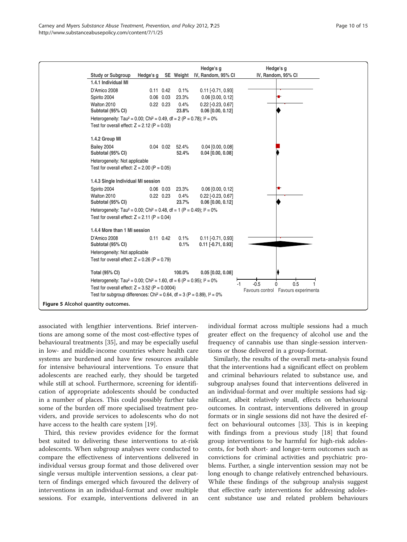<span id="page-9-0"></span>

associated with lengthier interventions. Brief interventions are among some of the most cost-effective types of behavioural treatments [[35\]](#page-14-0), and may be especially useful in low- and middle-income countries where health care systems are burdened and have few resources available for intensive behavioural interventions. To ensure that adolescents are reached early, they should be targeted while still at school. Furthermore, screening for identification of appropriate adolescents should be conducted in a number of places. This could possibly further take some of the burden off more specialised treatment providers, and provide services to adolescents who do not have access to the health care system [\[19\]](#page-14-0).

Third, this review provides evidence for the format best suited to delivering these interventions to at-risk adolescents. When subgroup analyses were conducted to compare the effectiveness of interventions delivered in individual versus group format and those delivered over single versus multiple intervention sessions, a clear pattern of findings emerged which favoured the delivery of interventions in an individual-format and over multiple sessions. For example, interventions delivered in an individual format across multiple sessions had a much greater effect on the frequency of alcohol use and the frequency of cannabis use than single-session interventions or those delivered in a group-format.

Similarly, the results of the overall meta-analysis found that the interventions had a significant effect on problem and criminal behaviours related to substance use, and subgroup analyses found that interventions delivered in an individual-format and over multiple sessions had significant, albeit relatively small, effects on behavioural outcomes. In contrast, interventions delivered in group formats or in single sessions did not have the desired effect on behavioural outcomes [[33\]](#page-14-0). This is in keeping with findings from a previous study [[18\]](#page-14-0) that found group interventions to be harmful for high-risk adolescents, for both short- and longer-term outcomes such as convictions for criminal activities and psychiatric problems. Further, a single intervention session may not be long enough to change relatively entrenched behaviours. While these findings of the subgroup analysis suggest that effective early interventions for addressing adolescent substance use and related problem behaviours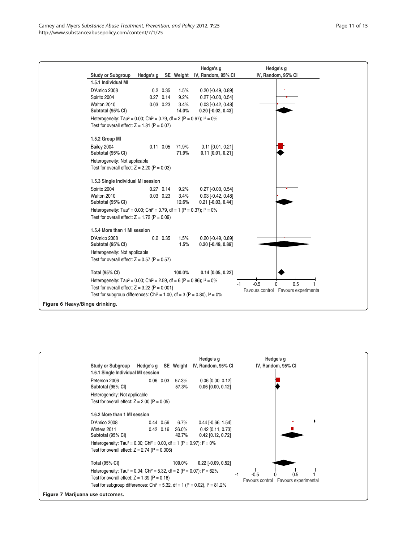<span id="page-10-0"></span>

|                                  |                                                                                                  |             |        | Hedge's g                                                                                 | Hedge's g                                             |
|----------------------------------|--------------------------------------------------------------------------------------------------|-------------|--------|-------------------------------------------------------------------------------------------|-------------------------------------------------------|
|                                  | <b>Study or Subgroup</b>                                                                         |             |        | Hedge's g SE Weight IV, Random, 95% CI                                                    | IV, Random, 95% CI                                    |
|                                  | 1.6.1 Single Individual MI session                                                               |             |        |                                                                                           |                                                       |
| Peterson 2006                    |                                                                                                  | $0.06$ 0.03 | 57.3%  | $0.06$ [0.00, 0.12]                                                                       |                                                       |
|                                  | Subtotal (95% CI)                                                                                |             | 57.3%  | $0.06$ [0.00, 0.12]                                                                       |                                                       |
|                                  | Heterogeneity: Not applicable                                                                    |             |        |                                                                                           |                                                       |
|                                  | Test for overall effect: $Z = 2.00$ (P = 0.05)                                                   |             |        |                                                                                           |                                                       |
|                                  | 1.6.2 More than 1 MI session                                                                     |             |        |                                                                                           |                                                       |
| D'Amico 2008                     |                                                                                                  | 0.44 0.56   | 6.7%   | $0.44$ [-0.66, 1.54]                                                                      |                                                       |
| Winters 2011                     |                                                                                                  | 0.42 0.16   | 36.0%  | 0.42 [0.11, 0.73]                                                                         |                                                       |
|                                  | Subtotal (95% CI)                                                                                |             | 42.7%  | $0.42$ [0.12, 0.72]                                                                       |                                                       |
|                                  | Heterogeneity: Tau <sup>2</sup> = 0.00; Chi <sup>2</sup> = 0.00, df = 1 (P = 0.97); $l^2 = 0\%$  |             |        |                                                                                           |                                                       |
|                                  | Test for overall effect: $Z = 2.74$ (P = 0.006)                                                  |             |        |                                                                                           |                                                       |
| <b>Total (95% CI)</b>            |                                                                                                  |             | 100.0% | $0.22$ [-0.09, 0.52]                                                                      |                                                       |
|                                  | Heterogeneity: Tau <sup>2</sup> = 0.04; Chi <sup>2</sup> = 5.32, df = 2 (P = 0.07); $I^2 = 62\%$ |             |        |                                                                                           |                                                       |
|                                  | Test for overall effect: $Z = 1.39$ (P = 0.16)                                                   |             |        |                                                                                           | $-0.5$<br>0.5<br>Favours control Favours experimental |
|                                  |                                                                                                  |             |        | Test for subgroup differences: Chi <sup>2</sup> = 5.32, df = 1 (P = 0.02), $l^2 = 81.2\%$ |                                                       |
| Figure 7 Marijuana use outcomes. |                                                                                                  |             |        |                                                                                           |                                                       |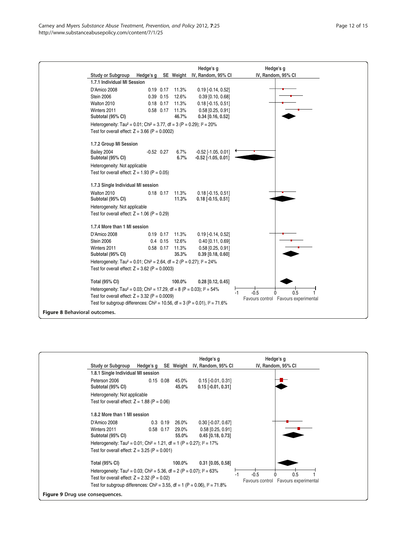<span id="page-11-0"></span>

|                                    |                                                                                                          |        | Hedge's g                              | Hedge's g                                  |  |  |  |
|------------------------------------|----------------------------------------------------------------------------------------------------------|--------|----------------------------------------|--------------------------------------------|--|--|--|
| <b>Study or Subgroup</b>           |                                                                                                          |        | Hedge's g SE Weight IV, Random, 95% CI | IV, Random, 95% CI                         |  |  |  |
| 1.7.1 Individual MI Session        |                                                                                                          |        |                                        |                                            |  |  |  |
| D'Amico 2008                       | 0.19 0.17 11.3%                                                                                          |        | $0.19$ [-0.14, 0.52]                   |                                            |  |  |  |
| Stein 2006                         | 0.39 0.15 12.6%                                                                                          |        | $0.39$ [0.10, 0.68]                    |                                            |  |  |  |
| Walton 2010                        | 0.18 0.17 11.3%                                                                                          |        | $0.18$ [-0.15, 0.51]                   |                                            |  |  |  |
| Winters 2011                       | $0.58$ 0.17                                                                                              | 11.3%  | $0.58$ [0.25, 0.91]                    |                                            |  |  |  |
| Subtotal (95% CI)                  |                                                                                                          | 46.7%  | $0.34$ [0.16, 0.52]                    |                                            |  |  |  |
|                                    | Heterogeneity: Tau <sup>2</sup> = 0.01; Chi <sup>2</sup> = 3.77, df = 3 (P = 0.29); $I^2 = 20\%$         |        |                                        |                                            |  |  |  |
|                                    | Test for overall effect: $Z = 3.66$ (P = 0.0002)                                                         |        |                                        |                                            |  |  |  |
| 1.7.2 Group MI Session             |                                                                                                          |        |                                        |                                            |  |  |  |
| Bailey 2004                        | $-0.52$ 0.27                                                                                             | 6.7%   | $-0.52$ [ $-1.05, 0.01$ ]              |                                            |  |  |  |
| Subtotal (95% CI)                  |                                                                                                          | 6.7%   | $-0.52$ [ $-1.05, 0.01$ ]              |                                            |  |  |  |
| Heterogeneity: Not applicable      |                                                                                                          |        |                                        |                                            |  |  |  |
|                                    | Test for overall effect: $Z = 1.93$ (P = 0.05)                                                           |        |                                        |                                            |  |  |  |
| 1.7.3 Single Individual MI session |                                                                                                          |        |                                        |                                            |  |  |  |
| Walton 2010                        | $0.18$ 0.17                                                                                              | 11.3%  | $0.18$ [-0.15, 0.51]                   |                                            |  |  |  |
| Subtotal (95% CI)                  |                                                                                                          | 11.3%  | $0.18$ [-0.15, 0.51]                   |                                            |  |  |  |
| Heterogeneity: Not applicable      |                                                                                                          |        |                                        |                                            |  |  |  |
|                                    | Test for overall effect: $Z = 1.06$ (P = 0.29)                                                           |        |                                        |                                            |  |  |  |
| 1.7.4 More than 1 MI session       |                                                                                                          |        |                                        |                                            |  |  |  |
| D'Amico 2008                       | 0.19 0.17 11.3%                                                                                          |        | $0.19$ [-0.14, 0.52]                   |                                            |  |  |  |
| Stein 2006                         | $0.4$ 0.15                                                                                               | 12.6%  | $0.40$ [0.11, 0.69]                    |                                            |  |  |  |
| Winters 2011                       | $0.58$ 0.17                                                                                              | 11.3%  | $0.58$ [0.25, 0.91]                    |                                            |  |  |  |
| Subtotal (95% CI)                  |                                                                                                          | 35.3%  | $0.39$ [0.18, 0.60]                    |                                            |  |  |  |
|                                    | Heterogeneity: Tau <sup>2</sup> = 0.01; Chi <sup>2</sup> = 2.64, df = 2 (P = 0.27); l <sup>2</sup> = 24% |        |                                        |                                            |  |  |  |
|                                    | Test for overall effect: $Z = 3.62$ (P = 0.0003)                                                         |        |                                        |                                            |  |  |  |
| <b>Total (95% CI)</b>              |                                                                                                          | 100.0% | $0.28$ [0.12, 0.45]                    |                                            |  |  |  |
|                                    | Heterogeneity: Tau <sup>2</sup> = 0.03; Chi <sup>2</sup> = 17.29, df = 8 (P = 0.03); $1^2 = 54\%$        |        |                                        | $-0.5$<br>0.5<br>$\Omega$                  |  |  |  |
|                                    | Test for overall effect: $Z = 3.32$ (P = 0.0009)                                                         |        |                                        | -1<br>Favours control Favours experimental |  |  |  |
|                                    | Test for subgroup differences: Chi <sup>2</sup> = 10.56, df = 3 (P = 0.01), $I^2 = 71.6\%$               |        |                                        |                                            |  |  |  |
| Figure 8 Behavioral outcomes.      |                                                                                                          |        |                                        |                                            |  |  |  |
|                                    |                                                                                                          |        |                                        |                                            |  |  |  |

|                                 |                                                                                                  |                     |             |        | Hedge's g            | Hedge's g                            |  |
|---------------------------------|--------------------------------------------------------------------------------------------------|---------------------|-------------|--------|----------------------|--------------------------------------|--|
|                                 | <b>Study or Subgroup</b>                                                                         | Hedge's g SE Weight |             |        | IV, Random, 95% CI   | IV, Random, 95% CI                   |  |
|                                 | 1.8.1 Single Individual MI session                                                               |                     |             |        |                      |                                      |  |
|                                 | Peterson 2006                                                                                    |                     | $0.15$ 0.08 | 45.0%  | $0.15$ [-0.01, 0.31] |                                      |  |
|                                 | Subtotal (95% CI)                                                                                |                     |             | 45.0%  | $0.15$ [-0.01, 0.31] |                                      |  |
|                                 | Heterogeneity: Not applicable                                                                    |                     |             |        |                      |                                      |  |
|                                 | Test for overall effect: $Z = 1.88$ (P = 0.06)                                                   |                     |             |        |                      |                                      |  |
|                                 |                                                                                                  |                     |             |        |                      |                                      |  |
|                                 | 1.8.2 More than 1 MI session                                                                     |                     |             |        |                      |                                      |  |
|                                 | D'Amico 2008                                                                                     |                     | $0.3$ 0.19  | 26.0%  | $0.30$ [-0.07, 0.67] |                                      |  |
|                                 | Winters 2011                                                                                     |                     | 0.58 0.17   | 29.0%  | $0.58$ [0.25, 0.91]  |                                      |  |
|                                 | Subtotal (95% CI)                                                                                |                     |             | 55.0%  | $0.45$ [0.18, 0.73]  |                                      |  |
|                                 | Heterogeneity: Tau <sup>2</sup> = 0.01; Chi <sup>2</sup> = 1.21, df = 1 (P = 0.27); $l^2 = 17\%$ |                     |             |        |                      |                                      |  |
|                                 | Test for overall effect: $Z = 3.25$ (P = 0.001)                                                  |                     |             |        |                      |                                      |  |
|                                 | <b>Total (95% CI)</b>                                                                            |                     |             | 100.0% | $0.31$ [0.05, 0.58]  |                                      |  |
|                                 | Heterogeneity: Tau <sup>2</sup> = 0.03; Chi <sup>2</sup> = 5.36, df = 2 (P = 0.07); $l^2 = 63\%$ |                     |             |        |                      |                                      |  |
|                                 | Test for overall effect: $Z = 2.32$ (P = 0.02)                                                   |                     |             |        |                      | $-0.5$<br>0.5                        |  |
|                                 | Test for subgroup differences: Chi <sup>2</sup> = 3.55, df = 1 (P = 0.06), $I^2 = 71.8\%$        |                     |             |        |                      | Favours control Favours experimental |  |
|                                 |                                                                                                  |                     |             |        |                      |                                      |  |
| Figure 9 Drug use consequences. |                                                                                                  |                     |             |        |                      |                                      |  |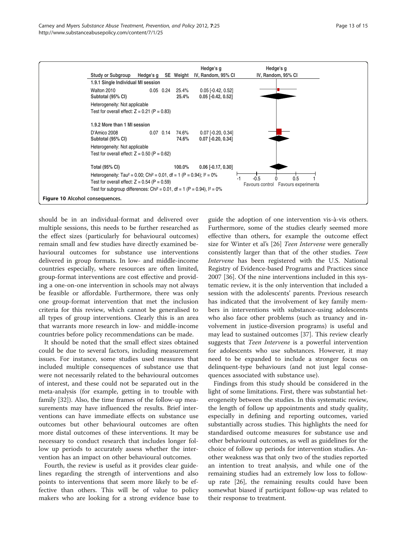<span id="page-12-0"></span>

should be in an individual-format and delivered over multiple sessions, this needs to be further researched as the effect sizes (particularly for behavioural outcomes) remain small and few studies have directly examined behavioural outcomes for substance use interventions delivered in group formats. In low- and middle-income countries especially, where resources are often limited, group-format interventions are cost effective and providing a one-on-one intervention in schools may not always be feasible or affordable. Furthermore, there was only one group-format intervention that met the inclusion criteria for this review, which cannot be generalised to all types of group interventions. Clearly this is an area that warrants more research in low- and middle-income countries before policy recommendations can be made.

It should be noted that the small effect sizes obtained could be due to several factors, including measurement issues. For instance, some studies used measures that included multiple consequences of substance use that were not necessarily related to the behavioural outcomes of interest, and these could not be separated out in the meta-analysis (for example, getting in to trouble with family [[32\]](#page-14-0)). Also, the time frames of the follow-up measurements may have influenced the results. Brief interventions can have immediate effects on substance use outcomes but other behavioural outcomes are often more distal outcomes of these interventions. It may be necessary to conduct research that includes longer follow up periods to accurately assess whether the intervention has an impact on other behavioural outcomes.

Fourth, the review is useful as it provides clear guidelines regarding the strength of interventions and also points to interventions that seem more likely to be effective than others. This will be of value to policy makers who are looking for a strong evidence base to

guide the adoption of one intervention vis-à-vis others. Furthermore, some of the studies clearly seemed more effective than others, for example the outcome effect size for Winter et al's [[26](#page-14-0)] Teen Intervene were generally consistently larger than that of the other studies. Teen Intervene has been registered with the U.S. National Registry of Evidence-based Programs and Practices since 2007 [[36](#page-14-0)]. Of the nine interventions included in this systematic review, it is the only intervention that included a session with the adolescents' parents. Previous research has indicated that the involvement of key family members in interventions with substance-using adolescents who also face other problems (such as truancy and involvement in justice-diversion programs) is useful and may lead to sustained outcomes [[37\]](#page-14-0). This review clearly suggests that Teen Intervene is a powerful intervention for adolescents who use substances. However, it may need to be expanded to include a stronger focus on delinquent-type behaviours (and not just legal consequences associated with substance use).

Findings from this study should be considered in the light of some limitations. First, there was substantial heterogeneity between the studies. In this systematic review, the length of follow up appointments and study quality, especially in defining and reporting outcomes, varied substantially across studies. This highlights the need for standardised outcome measures for substance use and other behavioural outcomes, as well as guidelines for the choice of follow up periods for intervention studies. Another weakness was that only two of the studies reported an intention to treat analysis, and while one of the remaining studies had an extremely low loss to followup rate [\[26\]](#page-14-0), the remaining results could have been somewhat biased if participant follow-up was related to their response to treatment.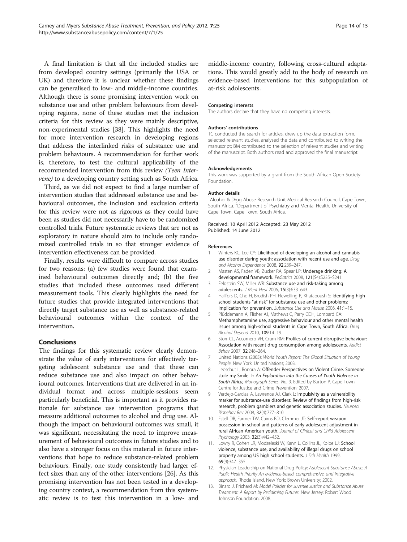<span id="page-13-0"></span>A final limitation is that all the included studies are from developed country settings (primarily the USA or UK) and therefore it is unclear whether these findings can be generalised to low- and middle-income countries. Although there is some promising intervention work on substance use and other problem behaviours from developing regions, none of these studies met the inclusion criteria for this review as they were mainly descriptive, non-experimental studies [\[38\]](#page-14-0). This highlights the need for more intervention research in developing regions that address the interlinked risks of substance use and problem behaviours. A recommendation for further work is, therefore, to test the cultural applicability of the recommended intervention from this review (Teen Intervene) to a developing country setting such as South Africa.

Third, as we did not expect to find a large number of intervention studies that addressed substance use and behavioural outcomes, the inclusion and exclusion criteria for this review were not as rigorous as they could have been as studies did not necessarily have to be randomized controlled trials. Future systematic reviews that are not as exploratory in nature should aim to include only randomized controlled trials in so that stronger evidence of intervention effectiveness can be provided.

Finally, results were difficult to compare across studies for two reasons: (a) few studies were found that examined behavioural outcomes directly and; (b) the five studies that included these outcomes used different measurement tools. This clearly highlights the need for future studies that provide integrated interventions that directly target substance use as well as substance-related behavioural outcomes within the context of the intervention.

# Conclusions

The findings for this systematic review clearly demonstrate the value of early interventions for effectively targeting adolescent substance use and that these can reduce substance use and also impact on other behavioural outcomes. Interventions that are delivered in an individual format and across multiple-sessions seem particularly beneficial. This is important as it provides rationale for substance use intervention programs that measure additional outcomes to alcohol and drug use. Although the impact on behavioural outcomes was small, it was significant, necessitating the need to improve measurement of behavioural outcomes in future studies and to also have a stronger focus on this material in future interventions that hope to reduce substance-related problem behaviours. Finally, one study consistently had larger effect sizes than any of the other interventions [\[26\]](#page-14-0). As this promising intervention has not been tested in a developing country context, a recommendation from this systematic review is to test this intervention in a low- and middle-income country, following cross-cultural adaptations. This would greatly add to the body of research on evidence-based interventions for this subpopulation of at-risk adolescents.

#### Competing interests

The authors declare that they have no competing interests.

#### Authors' contributions

TC conducted the search for articles, drew up the data extraction form, selected relevant studies, analysed the data and contributed to writing the manuscript; BM contributed to the selection of relevant studies and writing of the manuscript. Both authors read and approved the final manuscript.

#### Acknowledgements

This work was supported by a grant from the South African Open Society Foundation.

#### Author details

<sup>1</sup> Alcohol & Drug Abuse Research Unit Medical Research Council, Cape Town South Africa. <sup>2</sup> Department of Psychiatry and Mental Health, University of Cape Town, Cape Town, South Africa.

Received: 10 April 2012 Accepted: 23 May 2012 Published: 14 June 2012

#### References

- 1. Winters KC, Lee CY: Likelihood of developing an alcohol and cannabis use disorder during youth: association with recent use and age. Drug and Alcohol Dependence 2008, 92:239–247.
- 2. Masten AS, Faden VB, Zucker RA, Spear LP: Underage drinking: A developmental framework. Pediatrics 2008, 121(S4):S235–S241.
- 3. Feldstein SW, Miller WR: Substance use and risk-taking among adolescents. J Ment Heal 2006, 15(3):633–643.
- 4. Hallfors D, Cho H, Brodish PH, Flewelling R, Khatapoush S: Identifying high school students "at risk" for substance use and other problems: implication for prevention. Substance Use and Misuse 2006, 41:1–15.
- 5. Plüddemann A, Flisher AJ, Mathews C, Parry CDH, Lombard CA: Methamphetamine use, aggressive behaviour and other mental health issues among high-school students in Cape Town, South Africa. Drug Alcohol Depend 2010, 109:14–19.
- 6. Storr CL, Accornero VH, Crum RM: Profiles of current disruptive behaviour: Association with recent drug consumption among adolescents. Addict Behav 2007, 32:248–264.
- 7. United Nations (2003): World Youth Report: The Global Situation of Young People. New York: United Nations; 2003.
- 8. Leoschut L, Bonora A: Offender Perspectives on Violent Crime. Someone stole my Smile. In An Exploration into the Causes of Youth Violence in South Africa, Monograph Series, No. 3. Edited by Burton P. Cape Town: Centre for Justice and Crime Prevention; 2007.
- 9. Verdejo-Garciaa A, Lawrence AJ, Clark L: Impulsivity as a vulnerability marker for substance-use disorders: Review of findings from high-risk research, problem gamblers and genetic association studies. Neurosci Biobehav Rev 2008, 32(4):777–810.
- 10. Estell DB, Farmer TW, Cairns BD, Clemmer JT: Self-report weapon possession in school and patterns of early adolescent adjustment in rural African American youth. Journal of Clinical and Child Adolescent Psychology 2003, 32(3):442–452.
- 11. Lowry R, Cohen LR, Modzeleski W, Kann L, Collins JL, Kolbe LJ: School violence, substance use, and availability of illegal drugs on school property among US high school students. J Sch Health 1999, 69(9):347–355.
- 12. Physician Leadership on National Drug Policy: Adolescent Substance Abuse: A Public Health Priority An evidence-based, comprehensive, and integrative approach. Rhode Island, New York: Brown University; 2002.
- 13. Binard J, Prichard M: Model Policies for Juvenile Justice and Substance Abuse Treatment: A Report by Reclaiming Futures. New Jersey: Robert Wood Johnson Foundation; 2008.